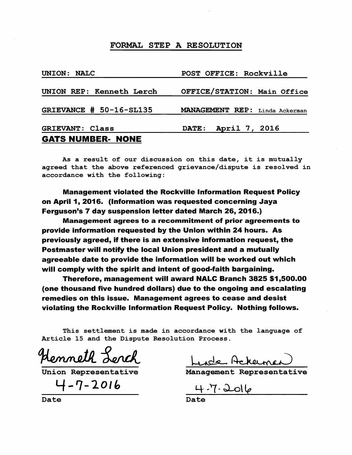| UNION: NALC              | POST OFFICE: Rockville         |
|--------------------------|--------------------------------|
| UNION REP: Kenneth Lerch | OFFICE/STATION: Main Office    |
| GRIEVANCE # 50-16-SL135  | MANAGEMENT REP: Linda Ackerman |
| <b>GRIEVANT: Class</b>   | DATE: April 7, 2016            |
| <b>GATS NUMBER- NONE</b> |                                |

As a result of our discussion on this date, it is mutually agreed that the above referenced grievance/dispute is resolved in accordance with the following:

Management violated the Rockville Information Request Policy on April 1, 2016. (Information was requested concerning Jaya Ferguson's 7 day suspension letter dated March 26, 2016.)

Management agrees to a recommitment of prior agreements to provide information requested by the Union within 24 hours. As previously agreed, if there is an extensive information request, the Postmaster will notify the local Union president and a mutually agreeable date to provide the information will be worked out which will comply with the spirit and intent of good-faith bargaining.

Therefore, management will award NALC Branch 3825 \$1,500.00 (one thousand five hundred dollars) due to the ongoing and escalating remedies on this issue. Management agrees to cease and desist violating the Rockville Information Request Policy. Nothing follows.

This settlement is made in accordance with the language of Article 15 and the Dispute Resolution Process.

Henneth Lerch

4-7-2016

Plennell derch Lude Achemen

Date Date Date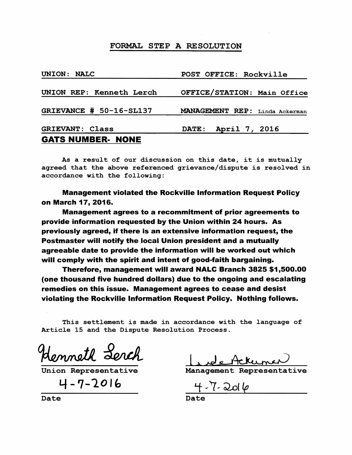| UNION: NALC              | POST OFFICE: Rockville         |
|--------------------------|--------------------------------|
| UNION REP: Kenneth Lerch | OFFICE/STATION: Main Office    |
| GRIEVANCE # 50-16-SL137  | MANAGEMENT REP: Linda Ackerman |
| <b>GRIEVANT: Class</b>   | DATE: April 7, 2016            |
| <b>GATS NUMBER- NONE</b> |                                |

As a result of our discussion on this date, it is mutually agreed that the above referenced grievance/dispute is resolved in accordance with the following:

Management violated the Rockville Information Request Policy on March 17, 2016.

Management agrees to a recommitment of prior agreements to provide information requested by the Union within 24 hours. As previously agreed, if there is an extensive information request, the Postmaster will notify the local Union president and a mutually agreeable date to provide the information will be worked out which will comply with the spirit and intent of good-faith bargaining.

Therefore, management will award NALC Branch 3825 \$1,500.00 (one thousand five hundred dollars) due to the ongoing and escalating remedies on this issue. Management agrees to cease and desist violating the Rockville Information Request Policy. Nothing follows.

This settlement is made in accordance with the language of Article 15 and the Dispute Resolution Process.

Henneth Lerch

*4-7-101"* 

Menneur auch<br>Union Representative Management Representative

Date Date Date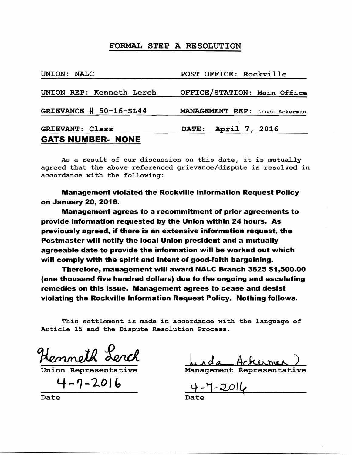| UNION: NALC              | POST OFFICE: Rockville         |
|--------------------------|--------------------------------|
| UNION REP: Kenneth Lerch | OFFICE/STATION: Main Office    |
| GRIEVANCE # 50-16-SL44   | MANAGEMENT REP: Linda Ackerman |
| <b>GRIEVANT: Class</b>   | DATE: April 7, 2016            |
| <b>GATS NUMBER- NONE</b> |                                |

As a result of our discussion on this date, it is mutually agreed that the above referenced grievance/dispute is resolved in accordance with the following:

Management violated the Rockville Information Request Policy on January 20, 2016.

Management agrees to a recommitment of prior agreements to provide information requested by the Union within 24 hours. As previously agreed, if there is an extensive information request, the Postmaster will notify the local Union president and a mutually agreeable date to provide the information will be worked out which will comply with the spirit and intent of good-faith bargaining.

Therefore, management will award NALC Branch 3825 \$1,500.00 (one thousand five hundred dollars) due to the ongoing and escalating remedies on this issue. Management agrees to cease and desist violating the Rockville Information Request Policy. Nothing follows.

This settlement is made in accordance with the language of Article 15 and the Dispute Resolution Process.

Henneth Lerch

Union Represent

 $4 - 7 - 2016$ 

Lida Acherman)

Management Representative

 $\frac{4-7-2016}{\text{Date}}$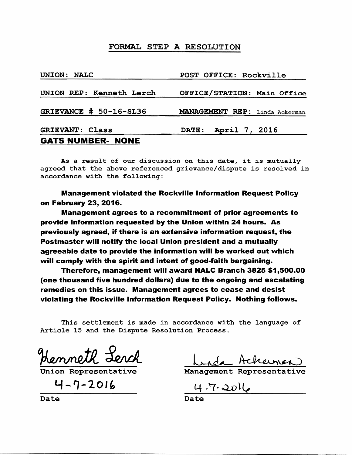| UNION: NALC              | POST OFFICE: Rockville         |
|--------------------------|--------------------------------|
| UNION REP: Kenneth Lerch | OFFICE/STATION: Main Office    |
| GRIEVANCE # 50-16-SL36   | MANAGEMENT REP: Linda Ackerman |
| <b>GRIEVANT: Class</b>   | DATE: April 7, 2016            |
| <b>GATS NUMBER- NONE</b> |                                |

As a result of our discussion on this date, it is mutually agreed that the above referenced grievance/dispute is resolved in, accordance with the following:

Management violated the Rockville Information Request Policy on February 23, 2016.

Management agrees to a recommitment of prior agreements to provide information requested by the Union within 24 hours. As previously agreed, if there is an extensive information request, the Postmaster will notify the local Union president and a mutually agreeable date to provide the information will be worked out which will comply with the spirit and intent of good-faith bargaining.

Therefore, management will award NALC Branch 3825 \$1,500.00 (one thousand five hundred dollars) due to the ongoing and escalating remedies on this issue. Management agrees to cease and desist violating the Rockville Information Request Policy. Nothing follows.

This settlement is made in accordance with the language of Article 15 and the Dispute Resolution Process.

Henneth Lerch

 $\frac{4-7-2016}{\text{Date}}$  4.7.2016  $4 - 7 - 2016$ 

Mennell derch Lide Achemen